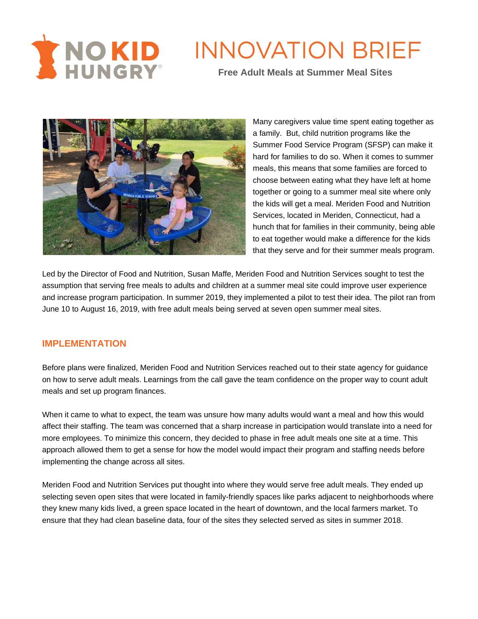



Many caregivers value time spent eating together as a family. But, child nutrition programs like the Summer Food Service Program (SFSP) can make it hard for families to do so. When it comes to summer meals, this means that some families are forced to choose between eating what they have left at home together or going to a summer meal site where only the kids will get a meal. Meriden Food and Nutrition Services, located in Meriden, Connecticut, had a hunch that for families in their community, being able to eat together would make a difference for the kids that they serve and for their summer meals program.

Led by the Director of Food and Nutrition, Susan Maffe, Meriden Food and Nutrition Services sought to test the assumption that serving free meals to adults and children at a summer meal site could improve user experience and increase program participation. In summer 2019, they implemented a pilot to test their idea. The pilot ran from June 10 to August 16, 2019, with free adult meals being served at seven open summer meal sites.

#### **IMPLEMENTATION**

Before plans were finalized, Meriden Food and Nutrition Services reached out to their state agency for guidance on how to serve adult meals. Learnings from the call gave the team confidence on the proper way to count adult meals and set up program finances.

When it came to what to expect, the team was unsure how many adults would want a meal and how this would affect their staffing. The team was concerned that a sharp increase in participation would translate into a need for more employees. To minimize this concern, they decided to phase in free adult meals one site at a time. This approach allowed them to get a sense for how the model would impact their program and staffing needs before implementing the change across all sites.

Meriden Food and Nutrition Services put thought into where they would serve free adult meals. They ended up selecting seven open sites that were located in family-friendly spaces like parks adjacent to neighborhoods where they knew many kids lived, a green space located in the heart of downtown, and the local farmers market. To ensure that they had clean baseline data, four of the sites they selected served as sites in summer 2018.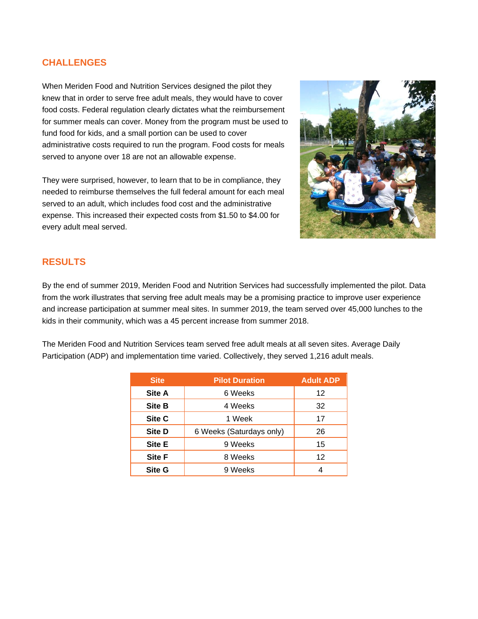### **CHALLENGES**

When Meriden Food and Nutrition Services designed the pilot they knew that in order to serve free adult meals, they would have to cover food costs. Federal regulation clearly dictates what the reimbursement for summer meals can cover. Money from the program must be used to fund food for kids, and a small portion can be used to cover administrative costs required to run the program. Food costs for meals served to anyone over 18 are not an allowable expense.

They were surprised, however, to learn that to be in compliance, they needed to reimburse themselves the full federal amount for each meal served to an adult, which includes food cost and the administrative expense. This increased their expected costs from \$1.50 to \$4.00 for every adult meal served.



# **RESULTS**

By the end of summer 2019, Meriden Food and Nutrition Services had successfully implemented the pilot. Data from the work illustrates that serving free adult meals may be a promising practice to improve user experience and increase participation at summer meal sites. In summer 2019, the team served over 45,000 lunches to the kids in their community, which was a 45 percent increase from summer 2018.

The Meriden Food and Nutrition Services team served free adult meals at all seven sites. Average Daily Participation (ADP) and implementation time varied. Collectively, they served 1,216 adult meals.

| <b>Site</b>   | <b>Pilot Duration</b>    | <b>Adult ADP</b> |
|---------------|--------------------------|------------------|
| Site A        | 6 Weeks                  | 12               |
| <b>Site B</b> | 4 Weeks                  | 32               |
| Site C        | 1 Week                   | 17               |
| <b>Site D</b> | 6 Weeks (Saturdays only) |                  |
| <b>Site E</b> | 9 Weeks                  | 15               |
| <b>Site F</b> | 8 Weeks                  |                  |
| <b>Site G</b> | 9 Weeks                  |                  |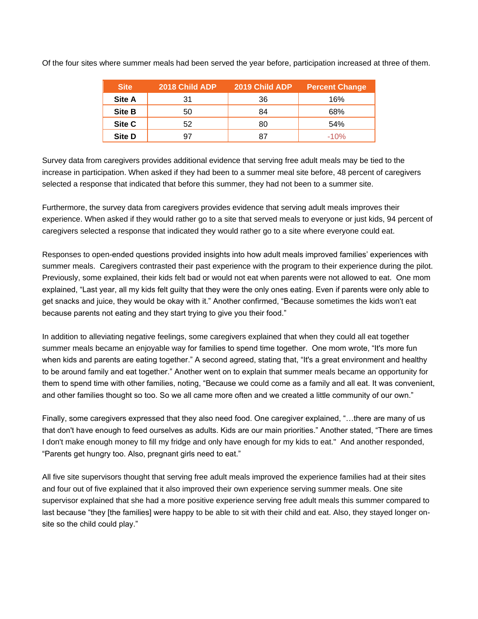| <b>Site</b>   | <b>2018 Child ADP</b> | 2019 Child ADP | <b>Percent Change</b> |
|---------------|-----------------------|----------------|-----------------------|
| <b>Site A</b> | 31                    | 36             | 16%                   |
| <b>Site B</b> | 50                    | 84             | 68%                   |
| Site C        | 52                    | 80             | 54%                   |
| <b>Site D</b> |                       | 87             | $-10%$                |

Of the four sites where summer meals had been served the year before, participation increased at three of them.

Survey data from caregivers provides additional evidence that serving free adult meals may be tied to the increase in participation. When asked if they had been to a summer meal site before, 48 percent of caregivers selected a response that indicated that before this summer, they had not been to a summer site.

Furthermore, the survey data from caregivers provides evidence that serving adult meals improves their experience. When asked if they would rather go to a site that served meals to everyone or just kids, 94 percent of caregivers selected a response that indicated they would rather go to a site where everyone could eat.

Responses to open-ended questions provided insights into how adult meals improved families' experiences with summer meals. Caregivers contrasted their past experience with the program to their experience during the pilot. Previously, some explained, their kids felt bad or would not eat when parents were not allowed to eat. One mom explained, "Last year, all my kids felt guilty that they were the only ones eating. Even if parents were only able to get snacks and juice, they would be okay with it." Another confirmed, "Because sometimes the kids won't eat because parents not eating and they start trying to give you their food."

In addition to alleviating negative feelings, some caregivers explained that when they could all eat together summer meals became an enjoyable way for families to spend time together. One mom wrote, "It's more fun when kids and parents are eating together." A second agreed, stating that, "It's a great environment and healthy to be around family and eat together." Another went on to explain that summer meals became an opportunity for them to spend time with other families, noting, "Because we could come as a family and all eat. It was convenient, and other families thought so too. So we all came more often and we created a little community of our own."

Finally, some caregivers expressed that they also need food. One caregiver explained, "…there are many of us that don't have enough to feed ourselves as adults. Kids are our main priorities." Another stated, "There are times I don't make enough money to fill my fridge and only have enough for my kids to eat." And another responded, "Parents get hungry too. Also, pregnant girls need to eat."

All five site supervisors thought that serving free adult meals improved the experience families had at their sites and four out of five explained that it also improved their own experience serving summer meals. One site supervisor explained that she had a more positive experience serving free adult meals this summer compared to last because "they [the families] were happy to be able to sit with their child and eat. Also, they stayed longer onsite so the child could play."